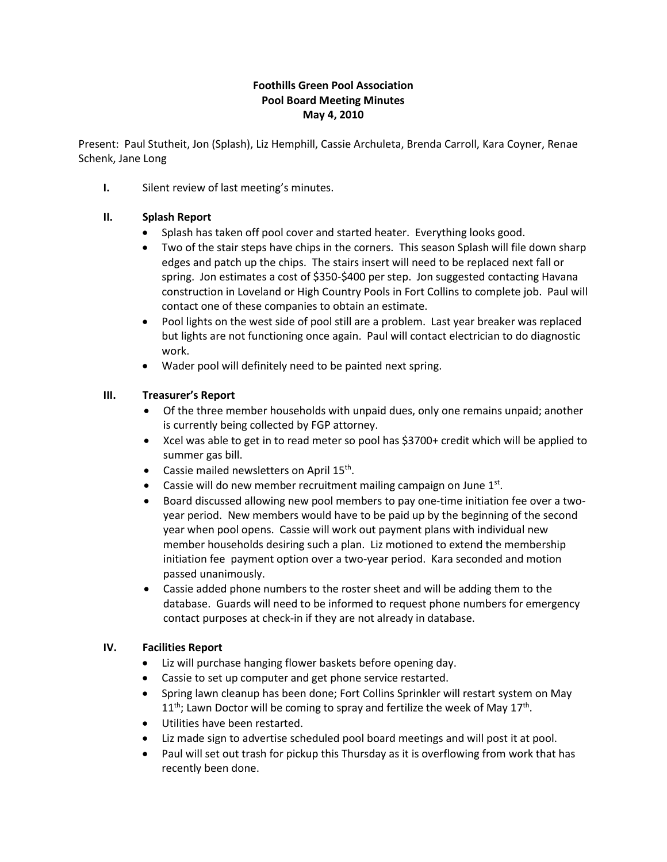# **Foothills Green Pool Association Pool Board Meeting Minutes May 4, 2010**

Present: Paul Stutheit, Jon (Splash), Liz Hemphill, Cassie Archuleta, Brenda Carroll, Kara Coyner, Renae Schenk, Jane Long

**I.** Silent review of last meeting's minutes.

# **II. Splash Report**

- Splash has taken off pool cover and started heater. Everything looks good.
- Two of the stair steps have chips in the corners. This season Splash will file down sharp edges and patch up the chips. The stairs insert will need to be replaced next fall or spring. Jon estimates a cost of \$350-\$400 per step. Jon suggested contacting Havana construction in Loveland or High Country Pools in Fort Collins to complete job. Paul will contact one of these companies to obtain an estimate.
- Pool lights on the west side of pool still are a problem. Last year breaker was replaced but lights are not functioning once again. Paul will contact electrician to do diagnostic work.
- Wader pool will definitely need to be painted next spring.

## **III. Treasurer's Report**

- Of the three member households with unpaid dues, only one remains unpaid; another is currently being collected by FGP attorney.
- Xcel was able to get in to read meter so pool has \$3700+ credit which will be applied to summer gas bill.
- Cassie mailed newsletters on April 15<sup>th</sup>.
- Cassie will do new member recruitment mailing campaign on June  $1<sup>st</sup>$ .
- Board discussed allowing new pool members to pay one-time initiation fee over a twoyear period. New members would have to be paid up by the beginning of the second year when pool opens. Cassie will work out payment plans with individual new member households desiring such a plan. Liz motioned to extend the membership initiation fee payment option over a two-year period. Kara seconded and motion passed unanimously.
- Cassie added phone numbers to the roster sheet and will be adding them to the database. Guards will need to be informed to request phone numbers for emergency contact purposes at check-in if they are not already in database.

#### **IV. Facilities Report**

- Liz will purchase hanging flower baskets before opening day.
- Cassie to set up computer and get phone service restarted.
- Spring lawn cleanup has been done; Fort Collins Sprinkler will restart system on May  $11^{\text{th}}$ ; Lawn Doctor will be coming to spray and fertilize the week of May 17<sup>th</sup>.
- Utilities have been restarted.
- Liz made sign to advertise scheduled pool board meetings and will post it at pool.
- Paul will set out trash for pickup this Thursday as it is overflowing from work that has recently been done.